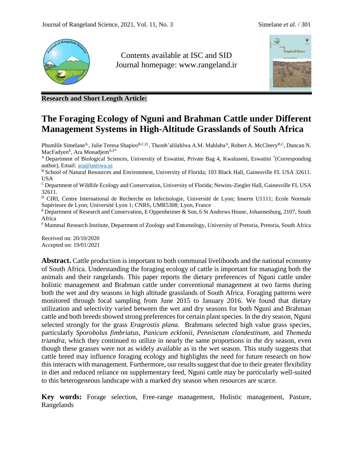

Contents available at ISC and SID Journal homepage: [www.rangeland.ir](http://www.rangeland.ir/)



**Research and Short Length Article:**

# **The Foraging Ecology of Nguni and Brahman Cattle under Different Management Systems in High-Altitude Grasslands of South Africa**

Phumlile Simelane<sup>A</sup>, Julie Teresa Shapiro<sup>B,C,D,</sup>, Themb'alilahlwa A.M. Mahlaba<sup>A</sup>, Robert A. McCleery<sup>B,C</sup>, Duncan N. MacFadyen<sup>E</sup>, Ara Monadjem<sup>A,F\*</sup>

<sup>A</sup> Department of Biological Sciences, University of Eswatini, Private Bag 4, Kwaluseni, Eswatini \*(Corresponding author), Email: [ara@uniswa.sz](mailto:ara@uniswa.sz)

B School of Natural Resources and Environment, University of Florida; 103 Black Hall, Gainesville FL USA 32611. USA

<sup>C</sup>Department of Wildlife Ecology and Conservation, University of Florida; Newins-Ziegler Hall, Gainesville FL USA 32611.

<sup>D</sup> CIRI, Centre International de Recherche en Infectiologie, Université de Lyon; Inserm U1111; Ecole Normale Supérieure de Lyon; Université Lyon 1; CNRS, UMR5308; Lyon, France

 $E$ Department of Research and Conservation, E Oppenheimer & Son, 6 St Andrews House, Johannesburg, 2107, South Africa

<sup>F</sup>Mammal Research Institute, Department of Zoology and Entomology, University of Pretoria, Pretoria, South Africa

Received on: 20/10/2020 Accepted on: 19/01/2021

**Abstract.** Cattle production is important to both communal livelihoods and the national economy of South Africa. Understanding the foraging ecology of cattle is important for managing both the animals and their rangelands. This paper reports the dietary preferences of Nguni cattle under holistic management and Brahman cattle under conventional management at two farms during both the wet and dry seasons in high altitude grasslands of South Africa. Foraging patterns were monitored through focal sampling from June 2015 to January 2016. We found that dietary utilization and selectivity varied between the wet and dry seasons for both Nguni and Brahman cattle and both breeds showed strong preferences for certain plant species. In the dry season, Nguni selected strongly for the grass *Eragrostis plana*. Brahmans selected high value grass species, particularly *Sporobolus fimbriatus*, *Panicum ecklonii*, *Pennisetum clandestinum*, and *Themeda triandra*, which they continued to utilize in nearly the same proportions in the dry season, even though these grasses were not as widely available as in the wet season. This study suggests that cattle breed may influence foraging ecology and highlights the need for future research on how this interacts with management. Furthermore, our results suggest that due to their greater flexibility in diet and reduced reliance on supplementary feed, Nguni cattle may be particularly well-suited to this heterogeneous landscape with a marked dry season when resources are scarce.

**Key words:** Forage selection, Free-range management, Holistic management, Pasture, Rangelands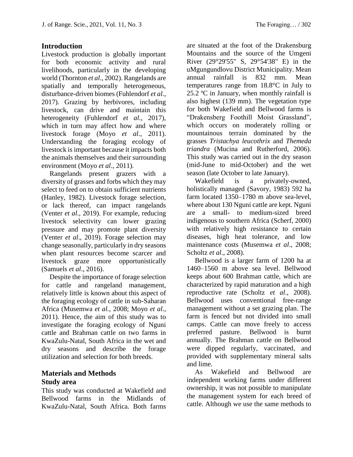## **Introduction**

Livestock production is globally important for both economic activity and rural livelihoods, particularly in the developing world (Thornton *et al*., 2002). Rangelands are spatially and temporally heterogeneous, disturbance-driven biomes (Fuhlendorf *et al*., 2017). Grazing by herbivores, including livestock, can drive and maintain this heterogeneity (Fuhlendorf *et al*., 2017), which in turn may affect how and where livestock forage (Moyo *et al*., 2011). Understanding the foraging ecology of livestock is important because it impacts both the animals themselves and their surrounding environment (Moyo *et al*., 2011).

Rangelands present grazers with a diversity of grasses and forbs which they may select to feed on to obtain sufficient nutrients (Hanley, 1982). Livestock forage selection, or lack thereof, can impact rangelands (Venter *et al*., 2019). For example, reducing livestock selectivity can lower grazing pressure and may promote plant diversity (Venter *et al*., 2019). Forage selection may change seasonally, particularly in dry seasons when plant resources become scarcer and livestock graze more opportunistically (Samuels *et al*., 2016).

Despite the importance of forage selection for cattle and rangeland management, relatively little is known about this aspect of the foraging ecology of cattle in sub-Saharan Africa (Musemwa *et al.,* 2008; Moyo *et al*., 2011). Hence, the aim of this study was to investigate the foraging ecology of Nguni cattle and Brahman cattle on two farms in KwaZulu-Natal, South Africa in the wet and dry seasons and describe the forage utilization and selection for both breeds.

## **Materials and Methods Study area**

This study was conducted at Wakefield and Bellwood farms in the Midlands of KwaZulu-Natal, South Africa. Both farms are situated at the foot of the Drakensburg Mountains and the source of the Umgeni River (29°29'55" S, 29°54'38" E) in the uMgungundlovu District Municipality. Mean annual rainfall is 832 mm. Mean temperatures range from 18.8°C in July to 25.2 ºC in January, when monthly rainfall is also highest (139 mm). The vegetation type for both Wakefield and Bellwood farms is "Drakensberg Foothill Moist Grassland", which occurs on moderately rolling or mountainous terrain dominated by the grasses *Tristachya leucothrix* and *Themeda triandra* (Mucina and Rutherford, 2006). This study was carried out in the dry season (mid-June to mid-October) and the wet season (late October to late January).

Wakefield is a privately-owned, holistically managed (Savory, 1983) 592 ha farm located 1350–1780 m above sea-level, where about 130 Nguni cattle are kept. Nguni are a small- to medium-sized breed indigenous to southern Africa (Scherf, 2000) with relatively high resistance to certain diseases, high heat tolerance, and low maintenance costs (Musemwa *et al*., 2008; Scholtz *et al*., 2008).

Bellwood is a larger farm of 1200 ha at 1460–1560 m above sea level. Bellwood keeps about 600 Brahman cattle, which are characterized by rapid maturation and a high reproductive rate (Scholtz *et al*., 2008). Bellwood uses conventional free-range management without a set grazing plan. The farm is fenced but not divided into small camps. Cattle can move freely to access preferred pasture. Bellwood is burnt annually. The Brahman cattle on Bellwood were dipped regularly, vaccinated, and provided with supplementary mineral salts and lime.

As Wakefield and Bellwood are independent working farms under different ownership, it was not possible to manipulate the management system for each breed of cattle. Although we use the same methods to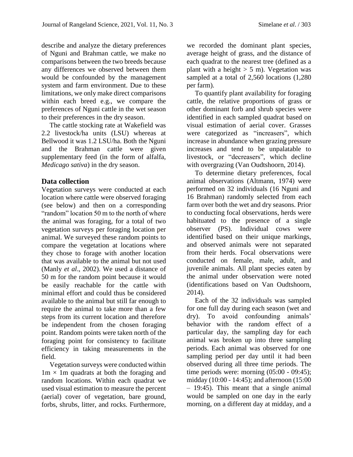describe and analyze the dietary preferences of Nguni and Brahman cattle, we make no comparisons between the two breeds because any differences we observed between them would be confounded by the management system and farm environment. Due to these limitations, we only make direct comparisons within each breed e.g., we compare the preferences of Nguni cattle in the wet season to their preferences in the dry season.

The cattle stocking rate at Wakefield was 2.2 livestock/ha units (LSU) whereas at Bellwood it was 1.2 LSU/ha. Both the Nguni and the Brahman cattle were given supplementary feed (in the form of alfalfa, *Medicago sativa*) in the dry season.

#### **Data collection**

Vegetation surveys were conducted at each location where cattle were observed foraging (see below) and then on a corresponding "random" location 50 m to the north of where the animal was foraging, for a total of two vegetation surveys per foraging location per animal. We surveyed these random points to compare the vegetation at locations where they chose to forage with another location that was available to the animal but not used (Manly *et al*., 2002). We used a distance of 50 m for the random point because it would be easily reachable for the cattle with minimal effort and could thus be considered available to the animal but still far enough to require the animal to take more than a few steps from its current location and therefore be independent from the chosen foraging point. Random points were taken north of the foraging point for consistency to facilitate efficiency in taking measurements in the field.

Vegetation surveys were conducted within  $1m \times 1m$  quadrats at both the foraging and random locations. Within each quadrat we used visual estimation to measure the percent (aerial) cover of vegetation, bare ground, forbs, shrubs, litter, and rocks. Furthermore,

we recorded the dominant plant species, average height of grass, and the distance of each quadrat to the nearest tree (defined as a plant with a height  $> 5$  m). Vegetation was sampled at a total of 2,560 locations (1,280 per farm).

To quantify plant availability for foraging cattle, the relative proportions of grass or other dominant forb and shrub species were identified in each sampled quadrat based on visual estimation of aerial cover. Grasses were categorized as "increasers", which increase in abundance when grazing pressure increases and tend to be unpalatable to livestock, or "decreasers", which decline with overgrazing (Van Oudtshoorn, 2014).

To determine dietary preferences, focal animal observations (Altmann, 1974) were performed on 32 individuals (16 Nguni and 16 Brahman) randomly selected from each farm over both the wet and dry seasons. Prior to conducting focal observations, herds were habituated to the presence of a single observer (PS). Individual cows were identified based on their unique markings, and observed animals were not separated from their herds. Focal observations were conducted on female, male, adult, and juvenile animals. All plant species eaten by the animal under observation were noted (identifications based on Van Oudtshoorn, 2014).

Each of the 32 individuals was sampled for one full day during each season (wet and dry). To avoid confounding animals' behavior with the random effect of a particular day, the sampling day for each animal was broken up into three sampling periods. Each animal was observed for one sampling period per day until it had been observed during all three time periods. The time periods were: morning (05:00 - 09:45); midday (10:00 - 14:45); and afternoon (15:00 – 19:45). This meant that a single animal would be sampled on one day in the early morning, on a different day at midday, and a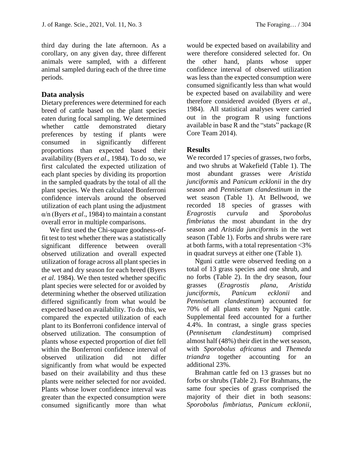third day during the late afternoon. As a corollary, on any given day, three different animals were sampled, with a different animal sampled during each of the three time periods.

## **Data analysis**

Dietary preferences were determined for each breed of cattle based on the plant species eaten during focal sampling. We determined whether cattle demonstrated dietary preferences by testing if plants were consumed in significantly different proportions than expected based their availability (Byers *et al*., 1984). To do so, we first calculated the expected utilization of each plant species by dividing its proportion in the sampled quadrats by the total of all the plant species. We then calculated Bonferroni confidence intervals around the observed utilization of each plant using the adjustment α/n (Byers *et al*., 1984) to maintain a constant overall error in multiple comparisons.

We first used the Chi-square goodness-offit test to test whether there was a statistically significant difference between overall observed utilization and overall expected utilization of forage across all plant species in the wet and dry season for each breed (Byers *et al*. 1984). We then tested whether specific plant species were selected for or avoided by determining whether the observed utilization differed significantly from what would be expected based on availability. To do this, we compared the expected utilization of each plant to its Bonferroni confidence interval of observed utilization. The consumption of plants whose expected proportion of diet fell within the Bonferroni confidence interval of observed utilization did not differ significantly from what would be expected based on their availability and thus these plants were neither selected for nor avoided. Plants whose lower confidence interval was greater than the expected consumption were consumed significantly more than what

would be expected based on availability and were therefore considered selected for. On the other hand, plants whose upper confidence interval of observed utilization was less than the expected consumption were consumed significantly less than what would be expected based on availability and were therefore considered avoided (Byers *et al*., 1984). All statistical analyses were carried out in the program R using functions available in base R and the "stats" package (R Core Team 2014).

## **Results**

We recorded 17 species of grasses, two forbs, and two shrubs at Wakefield (Table 1). The most abundant grasses were *Aristida junciformis* and *Panicum ecklonii* in the dry season and *Pennisetum clandestinum* in the wet season (Table 1). At Bellwood, we recorded 18 species of grasses with *Eragrostis curvula* and *Sporobolus fimbriatus* the most abundant in the dry season and *Aristida junciformis* in the wet season (Table 1). Forbs and shrubs were rare at both farms, with a total representation <3% in quadrat surveys at either one (Table 1).

Nguni cattle were observed feeding on a total of 13 grass species and one shrub, and no forbs (Table 2). In the dry season, four grasses (*Eragrostis plana*, *Aristida junciformis*, *Panicum ecklonii* and *Pennisetum clandestinum*) accounted for 70% of all plants eaten by Nguni cattle. Supplemental feed accounted for a further 4.4%. In contrast, a single grass species (*Pennisetum clandestinum*) comprised almost half (48%) their diet in the wet season, with *Sporobolus africanus* and *Themeda triandra* together accounting for an additional 23%.

Brahman cattle fed on 13 grasses but no forbs or shrubs (Table 2). For Brahmans, the same four species of grass comprised the majority of their diet in both seasons: *Sporobolus fimbriatus, Panicum ecklonii*,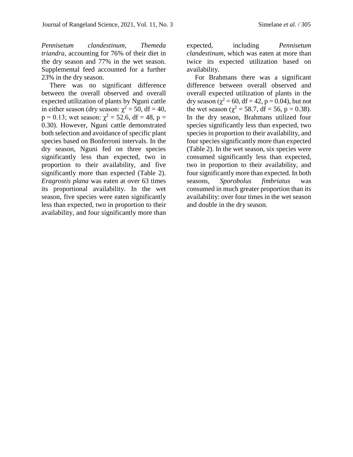*Pennisetum clandestinum, Themeda triandra*, accounting for 76% of their diet in the dry season and 77% in the wet season. Supplemental feed accounted for a further 23% in the dry season.

There was no significant difference between the overall observed and overall expected utilization of plants by Nguni cattle in either season (dry season:  $\chi^2 = 50$ , df = 40, p = 0.13; wet season:  $\chi^2 = 52.6$ , df = 48, p = 0.30). However, Nguni cattle demonstrated both selection and avoidance of specific plant species based on Bonferroni intervals. In the dry season, Nguni fed on three species significantly less than expected, two in proportion to their availability, and five significantly more than expected (Table 2). *Eragrostis plana* was eaten at over 63 times its proportional availability. In the wet season, five species were eaten significantly less than expected, two in proportion to their availability, and four significantly more than expected, including *Pennisetum clandestinum*, which was eaten at more than twice its expected utilization based on availability.

For Brahmans there was a significant difference between overall observed and overall expected utilization of plants in the dry season ( $\chi^2$  = 60, df = 42, p = 0.04), but not the wet season ( $\chi^2$  = 58.7, df = 56, p = 0.38). In the dry season, Brahmans utilized four species significantly less than expected, two species in proportion to their availability, and four species significantly more than expected (Table 2). In the wet season, six species were consumed significantly less than expected, two in proportion to their availability, and four significantly more than expected. In both seasons, *Sporobolus fimbriatus* was consumed in much greater proportion than its availability: over four times in the wet season and double in the dry season.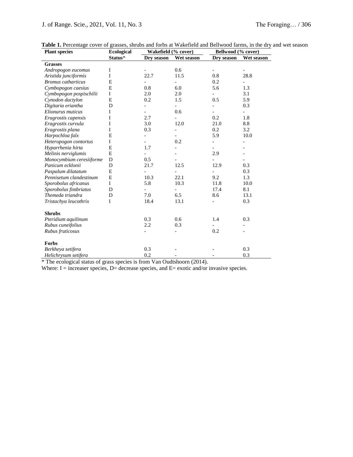| <b>Plant species</b>      | <b>Ecological</b> | Wakefield (% cover) |                          | Bellwood (% cover)       |            |
|---------------------------|-------------------|---------------------|--------------------------|--------------------------|------------|
|                           | Status*           | Dry season          | Wet season               | Dry season               | Wet season |
| <b>Grasses</b>            |                   |                     |                          |                          |            |
| Andropogon eucomus        | I                 |                     | 0.6                      |                          |            |
| Aristida junciformis      | I                 | 22.7                | 11.5                     | 0.8                      | 28.8       |
| <b>Bromus</b> catharticus | E                 |                     | $\overline{\phantom{0}}$ | 0.2                      |            |
| Cymbopogon caesius        | E                 | 0.8                 | 6.0                      | 5.6                      | 1.3        |
| Cymbopogon pospischilii   | $\mathbf I$       | 2.0                 | 2.0                      |                          | 3.1        |
| Cynodon dactylon          | E                 | 0.2                 | 1.5                      | 0.5                      | 5.9        |
| Digitaria eriantha        | D                 |                     |                          |                          | 0.3        |
| Elionurus muticus         | I                 |                     | 0.6                      |                          |            |
| Eragrostis capensis       | I                 | 2.7                 |                          | 0.2                      | 1.8        |
| Eragrostis curvula        | I                 | 3.0                 | 12.0                     | 21.0                     | 8.8        |
| Eragrostis plana          | I                 | 0.3                 | $\overline{\phantom{0}}$ | 0.2                      | 3.2        |
| Harpochloa falx           | E                 |                     |                          | 5.9                      | 10.0       |
| Heteropogon contortus     | I                 |                     | 0.2                      |                          |            |
| Hyparrhenia hirta         | E                 | 1.7                 |                          |                          |            |
| Melinis nerviglumis       | $\mathbf E$       |                     |                          | 2.9                      |            |
| Monocymbium ceresiiforme  | D                 | 0.5                 |                          |                          |            |
| Panicum ecklonii          | D                 | 21.7                | 12.5                     | 12.9                     | 0.3        |
| Paspalum dilatatum        | E                 |                     | $\overline{a}$           | $\overline{\phantom{0}}$ | 0.3        |
| Pennisetum clandestinum   | E                 | 10.3                | 22.1                     | 9.2                      | 1.3        |
| Sporobolus africanus      | I                 | 5.8                 | 10.3                     | 11.8                     | 10.0       |
| Sporobolus fimbriatus     | D                 |                     |                          | 17.4                     | 8.1        |
| Themeda triandra          | D                 | 7.0                 | 6.5                      | 8.6                      | 13.1       |
| Tristachya leucothrix     | I                 | 18.4                | 13.1                     |                          | 0.3        |
| <b>Shrubs</b>             |                   |                     |                          |                          |            |
| Pteridium aquilinum       |                   | 0.3                 | 0.6                      | 1.4                      | 0.3        |
| Rubus cuneifolius         |                   | 2.2                 | 0.3                      |                          |            |
| Rubus fruticosus          |                   |                     |                          | 0.2                      |            |
| <b>Forbs</b>              |                   |                     |                          |                          |            |
| Berkheya setifera         |                   | 0.3                 |                          |                          | 0.3        |
| Helichrysum setifera      |                   | 0.2                 |                          |                          | 0.3        |

|  |  |  |  |  | Table 1. Percentage cover of grasses, shrubs and forbs at Wakefield and Bellwood farms, in the dry and wet season |  |  |
|--|--|--|--|--|-------------------------------------------------------------------------------------------------------------------|--|--|
|--|--|--|--|--|-------------------------------------------------------------------------------------------------------------------|--|--|

\* The ecological status of grass species is from Van Oudtshoorn (2014).

Where:  $I =$  increaser species,  $D =$  decrease species, and  $E =$  exotic and/or invasive species.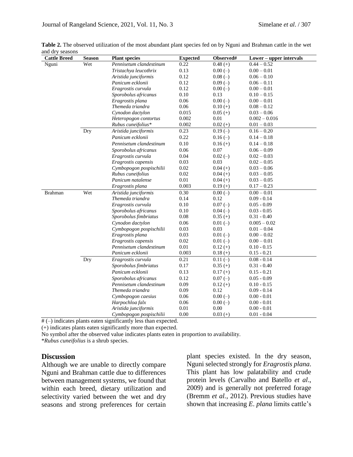| <b>Cattle Breed</b> | <b>Season</b> | <b>Plant species</b>    | <b>Expected</b> | Observed#  | Lower – upper intervals |
|---------------------|---------------|-------------------------|-----------------|------------|-------------------------|
| Nguni               | Wet           | Pennisetum clandestinum | 0.22            | $0.48(+)$  | $0.44 - 0.52$           |
|                     |               | Tristachya leucothrix   | 0.13            | $0.00(-)$  | $0.00 - 0.01$           |
|                     |               | Aristida junciformis    | 0.12            | $0.08(-)$  | $0.06 - 0.10$           |
|                     |               | Panicum ecklonii        | 0.12            | $0.09(-)$  | $0.06 - 0.11$           |
|                     |               | Eragrostis curvula      | 0.12            | $0.00(-)$  | $0.00 - 0.01$           |
|                     |               | Sporobolus africanus    | 0.10            | 0.13       | $0.10 - 0.15$           |
|                     |               | Eragrostis plana        | 0.06            | $0.00(-)$  | $0.00 - 0.01$           |
|                     |               | Themeda triandra        | 0.06            | $0.10 (+)$ | $0.08 - 0.12$           |
|                     |               | Cynodon dactylon        | 0.015           | $0.05 (+)$ | $0.03 - 0.06$           |
|                     |               | Heteropogon contortus   | 0.002           | 0.01       | $0.002 - 0.016$         |
|                     |               | Rubus cuneifolius*      | 0.002           | $0.02 (+)$ | $0.01 - 0.03$           |
|                     | Dry           | Aristida junciformis    | 0.23            | $0.19(-)$  | $0.16 - 0.20$           |
|                     |               | Panicum ecklonii        | 0.22            | $0.16(-)$  | $0.14 - 0.18$           |
|                     |               | Pennisetum clandestinum | 0.10            | $0.16 (+)$ | $0.14 - 0.18$           |
|                     |               | Sporobolus africanus    | 0.06            | 0.07       | $0.06 - 0.09$           |
|                     |               | Eragrostis curvula      | 0.04            | $0.02(-)$  | $0.02 - 0.03$           |
|                     |               | Eragrostis capensis     | 0.03            | 0.03       | $0.02 - 0.05$           |
|                     |               | Cymbopogon pospischilii | 0.02            | $0.04 (+)$ | $0.03 - 0.06$           |
|                     |               | Rubus cuneifolius       | 0.02            | $0.04 (+)$ | $0.03 - 0.05$           |
|                     |               | Panicum natalense       | 0.01            | $0.04 (+)$ | $0.03 - 0.05$           |
|                     |               | Eragrostis plana        | 0.003           | $0.19 (+)$ | $0.17 - 0.23$           |
| Brahman             | Wet           | Aristida junciformis    | 0.30            | $0.00(-)$  | $0.00 - 0.01$           |
|                     |               | Themeda triandra        | 0.14            | 0.12       | $0.09 - 0.14$           |
|                     |               | Eragrostis curvula      | 0.10            | $0.07(-)$  | $0.05 - 0.09$           |
|                     |               | Sporobolus africanus    | 0.10            | $0.04(-)$  | $0.03 - 0.05$           |
|                     |               | Sporobolus fimbriatus   | 0.08            | $0.35(+)$  | $0.31 - 0.40$           |
|                     |               | Cynodon dactylon        | 0.06            | $0.01(-)$  | $0.005 - 0.02$          |
|                     |               | Cymbopogon pospischilii | 0.03            | 0.03       | $0.01 - 0.04$           |
|                     |               | Eragrostis plana        | 0.03            | $0.01(-)$  | $0.00 - 0.02$           |
|                     |               | Eragrostis capensis     | 0.02            | $0.01(-)$  | $0.00 - 0.01$           |
|                     |               | Pennisetum clandestinum | 0.01            | $0.12 (+)$ | $0.10 - 0.15$           |
|                     |               | Panicum ecklonii        | 0.003           | $0.18(+)$  | $0.15 - 0.21$           |
|                     | Dry           | Eragrostis curvula      | 0.21            | $0.11(-)$  | $0.08 - 0.14$           |
|                     |               | Sporobolus fimbriatus   | 0.17            | $0.35(+)$  | $0.31 - 0.40$           |
|                     |               | Panicum ecklonii        | 0.13            | $0.17 (+)$ | $0.15 - 0.21$           |
|                     |               | Sporobolus africanus    | 0.12            | $0.07(-)$  | $0.05 - 0.09$           |
|                     |               | Pennisetum clandestinum | 0.09            | $0.12 (+)$ | $0.10 - 0.15$           |
|                     |               | Themeda triandra        | 0.09            | 0.12       | $0.09 - 0.14$           |
|                     |               | Cymbopogon caesius      | 0.06            | $0.00(-)$  | $0.00 - 0.01$           |
|                     |               | Harpochloa falx         | 0.06            | $0.00(-)$  | $0.00 - 0.01$           |
|                     |               | Aristida junciformis    | 0.01            | 0.00       | $0.00 - 0.01$           |
|                     |               | Cymbopogon pospischilii | 0.00            | $0.03 (+)$ | $0.01 - 0.04$           |

**Table 2.** The observed utilization of the most abundant plant species fed on by Nguni and Brahman cattle in the wet and dry seasons

# (–) indicates plants eaten significantly less than expected.

(+) indicates plants eaten significantly more than expected.

No symbol after the observed value indicates plants eaten in proportion to availability.

\**Rubus cuneifolius* is a shrub species.

#### **Discussion**

Although we are unable to directly compare Nguni and Brahman cattle due to differences between management systems, we found that within each breed, dietary utilization and selectivity varied between the wet and dry seasons and strong preferences for certain plant species existed. In the dry season, Nguni selected strongly for *Eragrostis plana*. This plant has low palatability and crude protein levels (Carvalho and Batello *et al*., 2009) and is generally not preferred forage (Bremm *et al.*, 2012). Previous studies have shown that increasing *E*. *plana* limits cattle's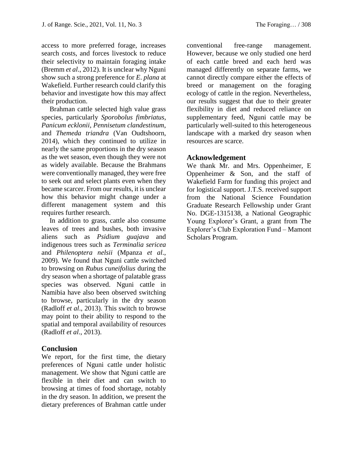access to more preferred forage, increases search costs, and forces livestock to reduce their selectivity to maintain foraging intake (Bremm *et al*., 2012). It is unclear why Nguni show such a strong preference for *E*. *plana* at Wakefield. Further research could clarify this behavior and investigate how this may affect their production.

Brahman cattle selected high value grass species, particularly *Sporobolus fimbriatus*, *Panicum ecklonii*, *Pennisetum clandestinum*, and *Themeda triandra* (Van Oudtshoorn, 2014), which they continued to utilize in nearly the same proportions in the dry season as the wet season, even though they were not as widely available. Because the Brahmans were conventionally managed, they were free to seek out and select plants even when they became scarcer. From our results, it is unclear how this behavior might change under a different management system and this requires further research.

In addition to grass, cattle also consume leaves of trees and bushes, both invasive aliens such as *Psidium guajava* and indigenous trees such as *Terminalia sericea* and *Philenoptera nelsii* (Mpanza *et al*., 2009). We found that Nguni cattle switched to browsing on *Rubus cuneifolius* during the dry season when a shortage of palatable grass species was observed. Nguni cattle in Namibia have also been observed switching to browse, particularly in the dry season (Radloff *et al*., 2013). This switch to browse may point to their ability to respond to the spatial and temporal availability of resources (Radloff *et al*., 2013).

#### **Conclusion**

We report, for the first time, the dietary preferences of Nguni cattle under holistic management. We show that Nguni cattle are flexible in their diet and can switch to browsing at times of food shortage, notably in the dry season. In addition, we present the dietary preferences of Brahman cattle under

conventional free-range management. However, because we only studied one herd of each cattle breed and each herd was managed differently on separate farms, we cannot directly compare either the effects of breed or management on the foraging ecology of cattle in the region. Nevertheless, our results suggest that due to their greater flexibility in diet and reduced reliance on supplementary feed, Nguni cattle may be particularly well-suited to this heterogeneous landscape with a marked dry season when resources are scarce.

#### **Acknowledgement**

We thank Mr. and Mrs. Oppenheimer, E Oppenheimer & Son, and the staff of Wakefield Farm for funding this project and for logistical support. J.T.S. received support from the National Science Foundation Graduate Research Fellowship under Grant No. DGE-1315138, a National Geographic Young Explorer's Grant, a grant from The Explorer's Club Exploration Fund – Mamont Scholars Program.